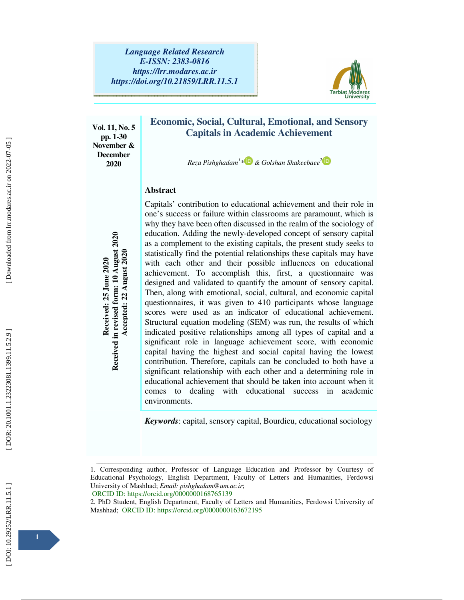

**Vol. 11, No. 5 pp. 1-30 November & December 2020** 

# **Economic, Social, Cultural, Emotional, and Sensory Capitals in Academic Achievement**

*Reza Pishghadam 1 1 \* & Golshan Shakeebaee 2*

## **Abstract**

Capitals' contribution to educational achievement and their role in one's success or failure within classrooms are paramount, which is why they have been often discussed in the realm of the sociology of education. Adding the newly-developed concept of sensory capital as a complement to the existing capitals, the present study seeks to statistically find the potential relationships these capitals may have with each other and their possible influences on educational achievement. To accomplish this, first, a questionnaire was designed and validated to quantify the amount of sensory capital. Then, along with emotional, social, cultural, and economic capital questionnaires, it was given to 410 participants whose language scores were used as an indicator of educational achievement. Structural equation modeling (SEM) was run, the results of which indicated positive relationships among all types of capital and a significant role in language achievement score, with economic capital having the highest and social capital having the lowest contribution. Therefore, capitals can be concluded to both have a significant relationship with each other and a determining role in educational achievement that should be taken into account when it comes to dealing with educational success in academic environments. education. Adding the newly-deve<br>as a complement to the existing ca<br>statistically find the potential relat<br>with each other and their poss<br>achievement. To accomplish the<br>designed and validated to quantify<br>Then, along with e

*Keywords*: capital, sensory capital, Bourdieu, educational sociology

2. PhD Student, English Department, Faculty of Letters and Humanities, Ferdowsi University of Mashhad; ORCID ID: https://orcid.org/0000000163672195

ــــــــــــــــــــــــــــــــــــــــــــــــــــــــــــــــــــــــــــــــــــــــــــــــــــــــــــــــــــــــــــــــــــــــــــــــــــــــــــــــــــــــــــــــــــــــــــــــــــــــــــــــــــــــــــــــــــــــــــــــــــــــــــــــــــــــــــ 1. Corresponding author, Professor of Language Education and Professor by Courtesy of Educational Psychology, English Department, Faculty of Letters and Humanities, Ferdowsi University of Mashhad; *Email: pishghadam@um.ac.ir*; ORCID ID: https://orcid.org/0000000168765139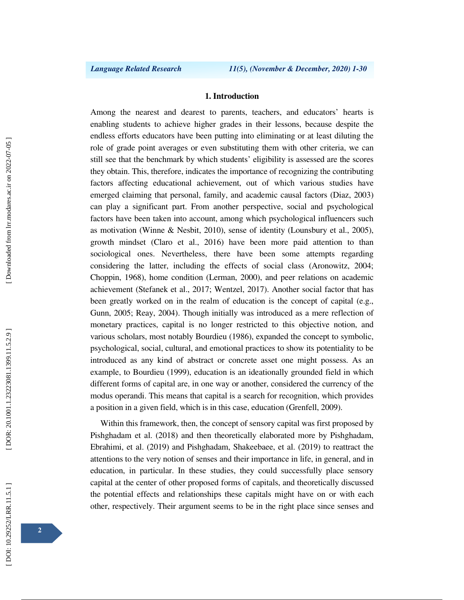## **1. Introduction**

Among the nearest and dearest to parents, teachers, and educators' hearts is enabling students to achieve higher grades in their lessons, because despite the endless efforts educators have been putting into eliminating or at least diluting the role of grade point averages or even substituting them with other criteria, we can still see that the benchmark by which students' eligibility is assessed are the scores they obtain. This, therefore, indicates the importance of recognizing the contributing factors affecting educational achievement, out of which various studies have emerged claiming that personal, family, and academic causal factors (Diaz, 2003) can play a significant part. From another perspective, social and psychological factors have been taken into account, among which psychological influencers such as motivation (Winne & Nesbit, 2010), sense of identity (Lounsbury et al., 2005), growth mindset (Claro et al., 2016) have been more paid attention to than sociological ones. Nevertheless, there have been some attempts regarding considering the latter, including the effects of social class (Aronowitz, 2004; Choppin, 1968), home condition (Lerman, 2000), and peer relations on academic achievement (Stefanek et al., 2017; Wentzel, 2017). Another social factor that has been greatly worked on in the realm of education is the concept of capital (e.g., Gunn, 2005; Reay, 2004). Though initially was introduced as a mere reflection of monetary practices, capital is no longer restricted to this objective notion, and various scholars, most notably Bourdieu (1986), expanded the concept to symbolic, psychological, social, cultural, and emotional practices to show its potentiality to be introduced as any kind of abstract or concrete asset one might possess. As an example, to Bourdieu (1999), education is an ideationally grounded field in which different forms of capital are, in one way or another, considered the currency of the modus operandi. This means that capital is a search for recognition, which provides a position in a given field, which is in this case, education (Grenfell, 2009).

Within this framework, then, the concept of sensory capital was first proposed by Pishghadam et al. (2018) and then theoretically elaborated more by Pishghadam, Ebrahimi, et al. (2019) and Pishghadam, Shakeebaee, et al. (2019) to reattract the attentions to the very notion of senses and their importance in life, in general, and in education, in particular. In these studies, they could successfully place sensory capital at the center of other proposed forms of capitals, and theoretically discussed the potential effects and relationships these capitals might have on or with each other, respectively. Their argument seems to be in the right place since senses and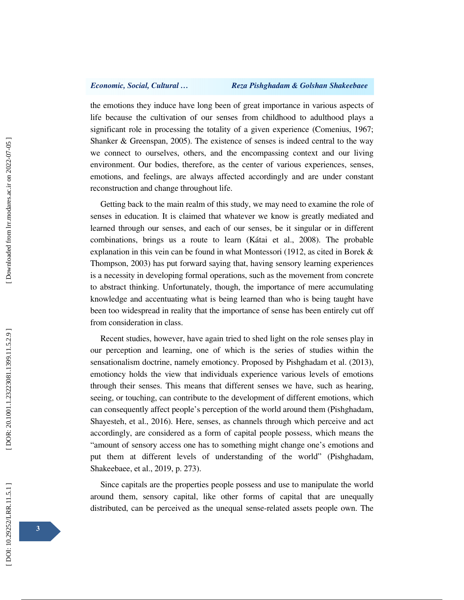the emotions they induce have long been of great importance in various aspects of life because the cultivation of our senses from childhood to adulthood plays a significant role in processing the totality of a given experience (Comenius, 1967; Shanker & Greenspan, 2005). The existence of senses is indeed central to the way we connect to ourselves, others, and the encompassing context and our living environment. Our bodies, therefore, as the center of various experiences, senses, emotions, and feelings, are always affected accordingly and are under constant reconstruction and change throughout life.

Getting back to the main realm of this study, we may need to examine the role of senses in education. It is claimed that whatever we know is greatly mediated and learned through our senses, and each of our senses, be it singular or in different combinations, brings us a route to learn (Kátai et al., 2008). The probable explanation in this vein can be found in what Montessori (1912, as cited in Borek & Thompson, 2003) has put forward saying that, having sensory learning experiences is a necessity in developing formal operations, such as the movement from concrete to abstract thinking. Unfortunately, though, the importance of mere accumulating knowledge and accentuating what is being learned than who is being taught have been too widespread in reality that the importance of sense has been entirely cut off from consideration in class.

Recent studies, however, have again tried to shed light on the role senses play in our perception and learning, one of which is the series of studies within the sensationalism doctrine, namely emotioncy. Proposed by Pishghadam et al. (2013), emotioncy holds the view that individuals experience various levels of emotions through their senses. This means that different senses we have, such as hearing, seeing, or touching, can contribute to the development of different emotions, which can consequently affect people's perception of the world around them (Pishghadam, Shayesteh, et al., 2016). Here, senses, as channels through which perceive and act accordingly, are considered as a form of capital people possess, which means the "amount of sensory access one has to something might change one's emotions and put them at different levels of understanding of the world" (Pishghadam, Shakeebaee, et al., 2019, p. 273).

Since capitals are the properties people possess and use to manipulate the world around them, sensory capital, like other forms of capital that are unequally distributed, can be perceived as the unequal sense-related assets people own. The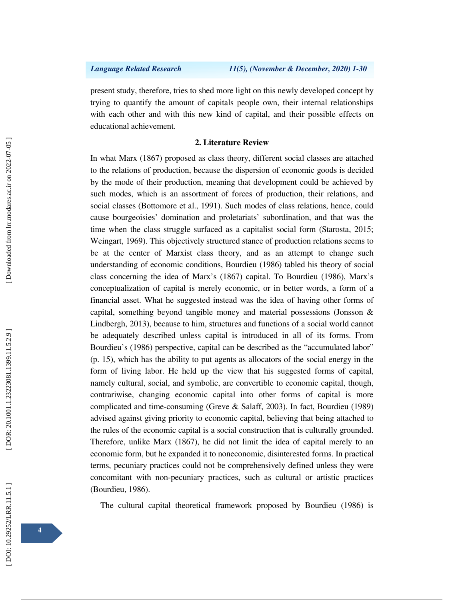present study, therefore, tries to shed more light on this newly developed concept by trying to quantify the amount of capitals people own, their internal relationships with each other and with this new kind of capital, and their possible effects on educational achievement.

## **2. Literature Review**

In what Marx (1867) proposed as class theory, different social classes are attached to the relations of production, because the dispersion of economic goods is decided by the mode of their production, meaning that development could be achieved by such modes, which is an assortment of forces of production, their relations, and social classes (Bottomore et al., 1991). Such modes of class relations, hence, could cause bourgeoisies' domination and proletariats' subordination, and that was the time when the class struggle surfaced as a capitalist social form (Starosta, 2015; Weingart, 1969). This objectively structured stance of production relations seems to be at the center of Marxist class theory, and as an attempt to change such understanding of economic conditions, Bourdieu (1986) tabled his theory of social class concerning the idea of Marx's (1867) capital. To Bourdieu (1986), Marx's conceptualization of capital is merely economic, or in better words, a form of a financial asset. What he suggested instead was the idea of having other forms of capital, something beyond tangible money and material possessions (Jonsson & Lindbergh, 2013), because to him, structures and functions of a social world cannot be adequately described unless capital is introduced in all of its forms. From Bourdieu's (1986) perspective, capital can be described as the "accumulated labor" (p. 15), which has the ability to put agents as allocators of the social energy in the form of living labor. He held up the view that his suggested forms of capital, namely cultural, social, and symbolic, are convertible to economic capital, though, contrariwise, changing economic capital into other forms of capital is more complicated and time-consuming (Greve & Salaff, 2003). In fact, Bourdieu (1989) advised against giving priority to economic capital, believing that being attached to the rules of the economic capital is a social construction that is culturally grounded. Therefore, unlike Marx (1867), he did not limit the idea of capital merely to an economic form, but he expanded it to noneconomic, disinterested forms. In practical terms, pecuniary practices could not be comprehensively defined unless they were concomitant with non-pecuniary practices, such as cultural or artistic practices (Bourdieu, 1986).

The cultural capital theoretical framework proposed by Bourdieu (1986) is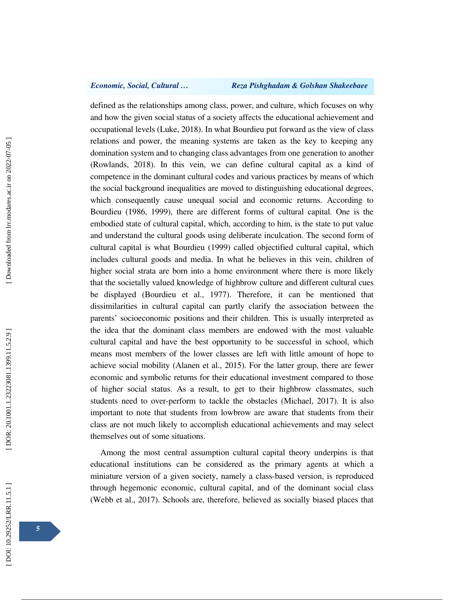### *Economic, Social, Cultural … Reza Pishghadam & Golshan Shakeebaee*

defined as the relationships among class, power, and culture, which focuses on why and how the given social status of a society affects the educational achievement and occupational levels (Luke, 2018). In what Bourdieu put forward as the view of class relations and power, the meaning systems are taken as the key to keeping any domination system and to changing class advantages from one generation to another (Rowlands, 2018). In this vein, we can define cultural capital as a kind of competence in the dominant cultural codes and various practices by means of which the social background inequalities are moved to distinguishing educational degrees, which consequently cause unequal social and economic returns. According to Bourdieu (1986, 1999), there are different forms of cultural capital. One is the embodied state of cultural capital, which, according to him, is the state to put value and understand the cultural goods using deliberate inculcation. The second form of cultural capital is what Bourdieu (1999) called objectified cultural capital, which includes cultural goods and media. In what he believes in this vein, children of higher social strata are born into a home environment where there is more likely that the societally valued knowledge of highbrow culture and different cultural cues be displayed (Bourdieu et al., 1977). Therefore, it can be mentioned that dissimilarities in cultural capital can partly clarify the association between the parents' socioeconomic positions and their children. This is usually interpreted as the idea that the dominant class members are endowed with the most valuable cultural capital and have the best opportunity to be successful in school, which means most members of the lower classes are left with little amount of hope to achieve social mobility (Alanen et al., 2015). For the latter group, there are fewer economic and symbolic returns for their educational investment compared to those of higher social status. As a result, to get to their highbrow classmates, such students need to over-perform to tackle the obstacles (Michael, 2017). It is also important to note that students from lowbrow are aware that students from their class are not much likely to accomplish educational achievements and may select themselves out of some situations.

Among the most central assumption cultural capital theory underpins is that educational institutions can be considered as the primary agents at which a miniature version of a given society, namely a class-based version, is reproduced through hegemonic economic, cultural capital, and of the dominant social class (Webb et al., 2017). Schools are, therefore, believed as socially biased places that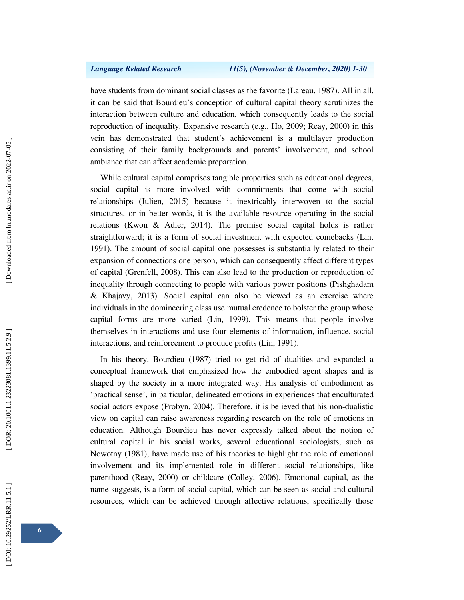have students from dominant social classes as the favorite (Lareau, 1987). All in all, it can be said that Bourdieu's conception of cultural capital theory scrutinizes the interaction between culture and education, which consequently leads to the social reproduction of inequality. Expansive research (e.g., Ho, 2009; Reay, 2000) in this vein has demonstrated that student's achievement is a multilayer production consisting of their family backgrounds and parents' involvement, and school ambiance that can affect academic preparation.

While cultural capital comprises tangible properties such as educational degrees, social capital is more involved with commitments that come with social relationships (Julien, 2015) because it inextricably interwoven to the social structures, or in better words, it is the available resource operating in the social relations (Kwon & Adler, 2014). The premise social capital holds is rather straightforward; it is a form of social investment with expected comebacks (Lin, 1991). The amount of social capital one possesses is substantially related to their expansion of connections one person, which can consequently affect different types of capital (Grenfell, 2008). This can also lead to the production or reproduction of inequality through connecting to people with various power positions (Pishghadam & Khajavy, 2013). Social capital can also be viewed as an exercise where individuals in the domineering class use mutual credence to bolster the group whose capital forms are more varied (Lin, 1999). This means that people involve themselves in interactions and use four elements of information, influence, social interactions, and reinforcement to produce profits (Lin, 1991).

In his theory, Bourdieu (1987) tried to get rid of dualities and expanded a conceptual framework that emphasized how the embodied agent shapes and is shaped by the society in a more integrated way. His analysis of embodiment as 'practical sense', in particular, delineated emotions in experiences that enculturated social actors expose (Probyn, 2004). Therefore, it is believed that his non-dualistic view on capital can raise awareness regarding research on the role of emotions in education. Although Bourdieu has never expressly talked about the notion of cultural capital in his social works, several educational sociologists, such as Nowotny (1981), have made use of his theories to highlight the role of emotional involvement and its implemented role in different social relationships, like parenthood (Reay, 2000) or childcare (Colley, 2006). Emotional capital, as the name suggests, is a form of social capital, which can be seen as social and cultural resources, which can be achieved through affective relations, specifically those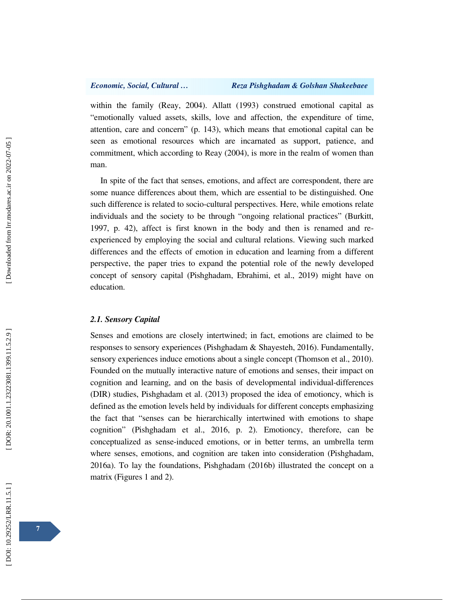within the family (Reay, 2004). Allatt (1993) construed emotional capital as "emotionally valued assets, skills, love and affection, the expenditure of time, attention, care and concern" (p. 143), which means that emotional capital can be seen as emotional resources which are incarnated as support, patience, and commitment, which according to Reay (2004), is more in the realm of women than man.

In spite of the fact that senses, emotions, and affect are correspondent, there are some nuance differences about them, which are essential to be distinguished. One such difference is related to socio-cultural perspectives. Here, while emotions relate individuals and the society to be through "ongoing relational practices" (Burkitt, 1997, p. 42), affect is first known in the body and then is renamed and reexperienced by employing the social and cultural relations. Viewing such marked differences and the effects of emotion in education and learning from a different perspective, the paper tries to expand the potential role of the newly developed concept of sensory capital (Pishghadam, Ebrahimi, et al., 2019) might have on education.

### *2.1. Sensory Capital*

Senses and emotions are closely intertwined; in fact, emotions are claimed to be responses to sensory experiences (Pishghadam & Shayesteh, 2016). Fundamentally, sensory experiences induce emotions about a single concept (Thomson et al., 2010). Founded on the mutually interactive nature of emotions and senses, their impact on cognition and learning, and on the basis of developmental individual-differences (DIR) studies, Pishghadam et al. (2013) proposed the idea of emotioncy, which is defined as the emotion levels held by individuals for different concepts emphasizing the fact that "senses can be hierarchically intertwined with emotions to shape cognition" (Pishghadam et al., 2016, p. 2). Emotioncy, therefore, can be conceptualized as sense-induced emotions, or in better terms, an umbrella term where senses, emotions, and cognition are taken into consideration (Pishghadam, 2016a). To lay the foundations, Pishghadam (2016b) illustrated the concept on a matrix (Figures 1 and 2).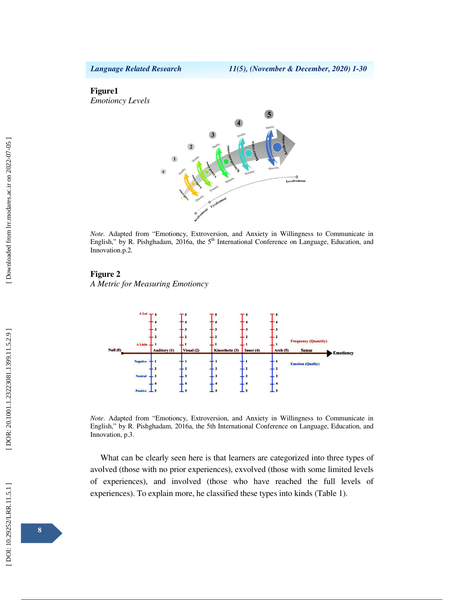### **Figure1**

*Emotioncy Levels*



*Note.* Adapted from "Emotioncy, Extroversion, and Anxiety in Willingness to Communicate in English," by R. Pishghadam, 2016a, the 5<sup>th</sup> International Conference on Language, Education, and Innovation.p.2.

### **Figure 2**

*A Metric for Measuring Emotioncy* 



*Note*. Adapted from "Emotioncy, Extroversion, and Anxiety in Willingness to Communicate in English," by R. Pishghadam, 2016a, the 5th International Conference on Language, Education, and Innovation, p.3.

What can be clearly seen here is that learners are categorized into three types of avolved (those with no prior experiences), exvolved (those with some limited levels of experiences), and involved (those who have reached the full levels of experiences). To explain more, he classified these types into kinds (Table 1).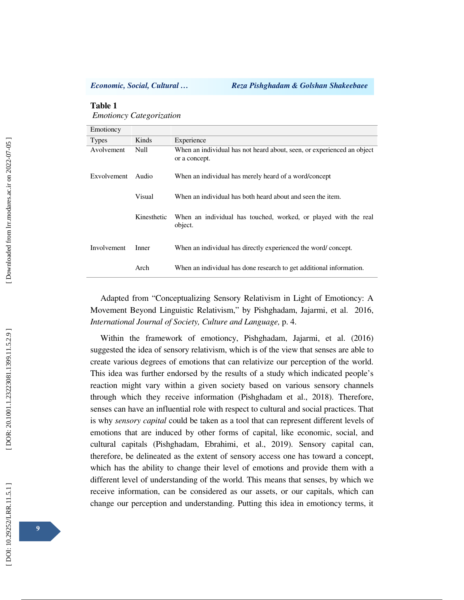### **Table 1**

*Emotioncy Categorization*

| Emotioncy          |             |                                                                                         |
|--------------------|-------------|-----------------------------------------------------------------------------------------|
| <b>Types</b>       | Kinds       | Experience                                                                              |
| Avolvement         | Null        | When an individual has not heard about, seen, or experienced an object<br>or a concept. |
| <b>Exvolvement</b> | Audio       | When an individual has merely heard of a word/concept                                   |
|                    | Visual      | When an individual has both heard about and seen the item.                              |
|                    | Kinesthetic | When an individual has touched, worked, or played with the real<br>object.              |
| Involvement        | Inner       | When an individual has directly experienced the word/concept.                           |
|                    | Arch        | When an individual has done research to get additional information.                     |

Adapted from "Conceptualizing Sensory Relativism in Light of Emotioncy: A Movement Beyond Linguistic Relativism," by Pishghadam, Jajarmi, et al. 2016, *International Journal of Society, Culture and Language,* p. 4.

Within the framework of emotioncy, Pishghadam, Jajarmi, et al. (2016) suggested the idea of sensory relativism, which is of the view that senses are able to create various degrees of emotions that can relativize our perception of the world. This idea was further endorsed by the results of a study which indicated people's reaction might vary within a given society based on various sensory channels through which they receive information (Pishghadam et al., 2018). Therefore, senses can have an influential role with respect to cultural and social practices. That is why *sensory capital* could be taken as a tool that can represent different levels of emotions that are induced by other forms of capital, like economic, social, and cultural capitals (Pishghadam, Ebrahimi, et al., 2019). Sensory capital can, therefore, be delineated as the extent of sensory access one has toward a concept, which has the ability to change their level of emotions and provide them with a different level of understanding of the world. This means that senses, by which we receive information, can be considered as our assets, or our capitals, which can change our perception and understanding. Putting this idea in emotioncy terms, it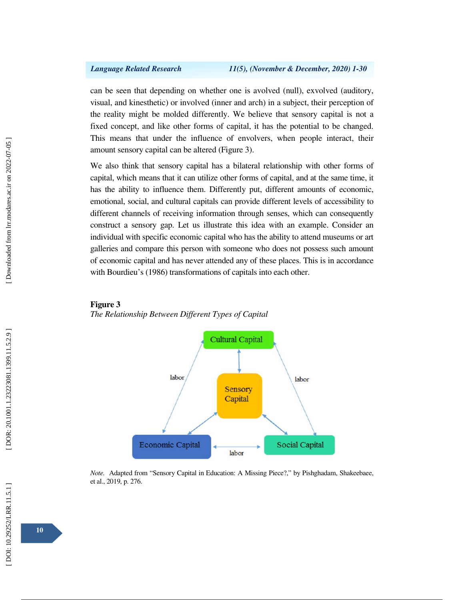can be seen that depending on whether one is avolved (null), exvolved (auditory, visual, and kinesthetic) or involved (inner and arch) in a subject, their perception of the reality might be molded differently. We believe that sensory capital is not a fixed concept, and like other forms of capital, it has the potential to be changed. This means that under the influence of envolvers, when people interact, their amount sensory capital can be altered (Figure 3).

We also think that sensory capital has a bilateral relationship with other forms of capital, which means that it can utilize other forms of capital, and at the same time, it has the ability to influence them. Differently put, different amounts of economic, emotional, social, and cultural capitals can provide different levels of accessibility to different channels of receiving information through senses, which can consequently construct a sensory gap. Let us illustrate this idea with an example. Consider an individual with specific economic capital who has the ability to attend museums or art galleries and compare this person with someone who does not possess such amount of economic capital and has never attended any of these places. This is in accordance with Bourdieu's (1986) transformations of capitals into each other.





*Note.* Adapted from "Sensory Capital in Education: A Missing Piece?," by Pishghadam, Shakeebaee, et al., 2019, p. 276.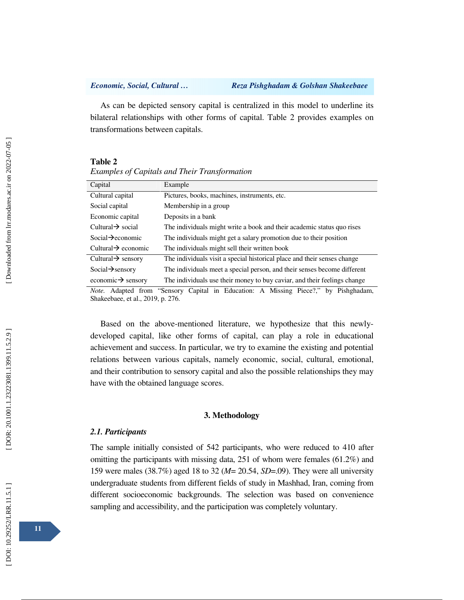As can be depicted sensory capital is centralized in this model to underline its bilateral relationships with other forms of capital. Table 2 provides examples on transformations between capitals.

### **Table 2**

| Capital                         | Example                                                                  |
|---------------------------------|--------------------------------------------------------------------------|
| Cultural capital                | Pictures, books, machines, instruments, etc.                             |
| Social capital                  | Membership in a group                                                    |
| Economic capital                | Deposits in a bank                                                       |
| Cultural $\rightarrow$ social   | The individuals might write a book and their academic status quo rises   |
| Social $\rightarrow$ economic   | The individuals might get a salary promotion due to their position       |
| Cultural $\rightarrow$ economic | The individuals might sell their written book                            |
| Cultural $\rightarrow$ sensory  | The individuals visit a special historical place and their senses change |
| Social $\rightarrow$ sensory    | The individuals meet a special person, and their senses become different |
| economic $\rightarrow$ sensory  | The individuals use their money to buy caviar, and their feelings change |

*Note.* Adapted from "Sensory Capital in Education: A Missing Piece?," by Pishghadam, Shakeebaee, et al., 2019, p. 276.

Based on the above-mentioned literature, we hypothesize that this newlydeveloped capital, like other forms of capital, can play a role in educational achievement and success. In particular, we try to examine the existing and potential relations between various capitals, namely economic, social, cultural, emotional, and their contribution to sensory capital and also the possible relationships they may have with the obtained language scores.

### **3. Methodology**

### *2.1. Participants*

The sample initially consisted of 542 participants, who were reduced to 410 after omitting the participants with missing data, 251 of whom were females (61.2%) and 159 were males (38.7%) aged 18 to 32 (*M*= 20.54, *SD*=.09). They were all university undergraduate students from different fields of study in Mashhad, Iran, coming from different socioeconomic backgrounds. The selection was based on convenience sampling and accessibility, and the participation was completely voluntary.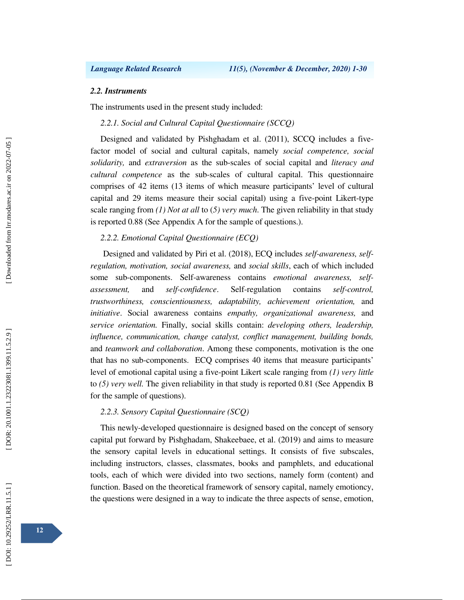## *2.2. Instruments*

The instruments used in the present study included:

*2.2.1. Social and Cultural Capital Questionnaire (SCCQ)* 

Designed and validated by Pishghadam et al. (2011), SCCQ includes a fivefactor model of social and cultural capitals, namely *social competence, social solidarity,* and *extraversion* as the sub-scales of social capital and *literacy and cultural competence* as the sub-scales of cultural capital. This questionnaire comprises of 42 items (13 items of which measure participants' level of cultural capital and 29 items measure their social capital) using a five-point Likert-type scale ranging from *(1) Not at all* to (*5) very much*. The given reliability in that study is reported 0.88 (See Appendix A for the sample of questions.).

## *2.2.2. Emotional Capital Questionnaire (ECQ)*

Designed and validated by Piri et al. (2018), ECQ includes *self-awareness, selfregulation, motivation, social awareness,* and *social skills*, each of which included some sub-components. Self-awareness contains *emotional awareness, selfassessment,* and *self-confidence*. Self-regulation contains *self-control, trustworthiness, conscientiousness, adaptability, achievement orientation,* and *initiative*. Social awareness contains *empathy, organizational awareness,* and *service orientation.* Finally, social skills contain: *developing others, leadership, influence, communication, change catalyst, conflict management, building bonds,*  and *teamwork and collaboration*. Among these components, motivation is the one that has no sub-components. ECQ comprises 40 items that measure participants' level of emotional capital using a five-point Likert scale ranging from *(1) very little* to *(5) very well.* The given reliability in that study is reported 0.81 (See Appendix B for the sample of questions).

### *2.2.3. Sensory Capital Questionnaire (SCQ)*

This newly-developed questionnaire is designed based on the concept of sensory capital put forward by Pishghadam, Shakeebaee, et al. (2019) and aims to measure the sensory capital levels in educational settings. It consists of five subscales, including instructors, classes, classmates, books and pamphlets, and educational tools, each of which were divided into two sections, namely form (content) and function. Based on the theoretical framework of sensory capital, namely emotioncy, the questions were designed in a way to indicate the three aspects of sense, emotion,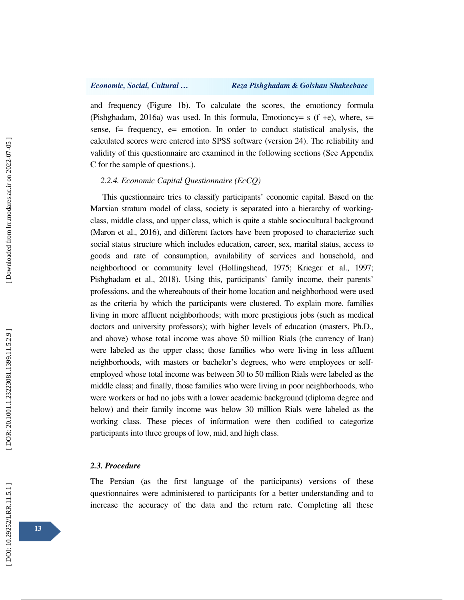and frequency (Figure 1b). To calculate the scores, the emotioncy formula (Pishghadam, 2016a) was used. In this formula, Emotioncy= s (f +e), where, s= sense,  $f$  = frequency,  $e$  = emotion. In order to conduct statistical analysis, the calculated scores were entered into SPSS software (version 24). The reliability and validity of this questionnaire are examined in the following sections (See Appendix C for the sample of questions.).

## *2.2.4. Economic Capital Questionnaire (EcCQ)*

This questionnaire tries to classify participants' economic capital. Based on the Marxian stratum model of class, society is separated into a hierarchy of workingclass, middle class, and upper class, which is quite a stable sociocultural background (Maron et al., 2016), and different factors have been proposed to characterize such social status structure which includes education, career, sex, marital status, access to goods and rate of consumption, availability of services and household, and neighborhood or community level (Hollingshead, 1975; Krieger et al., 1997; Pishghadam et al., 2018). Using this, participants' family income, their parents' professions, and the whereabouts of their home location and neighborhood were used as the criteria by which the participants were clustered. To explain more, families living in more affluent neighborhoods; with more prestigious jobs (such as medical doctors and university professors); with higher levels of education (masters, Ph.D., and above) whose total income was above 50 million Rials (the currency of Iran) were labeled as the upper class; those families who were living in less affluent neighborhoods, with masters or bachelor's degrees, who were employees or selfemployed whose total income was between 30 to 50 million Rials were labeled as the middle class; and finally, those families who were living in poor neighborhoods, who were workers or had no jobs with a lower academic background (diploma degree and below) and their family income was below 30 million Rials were labeled as the working class. These pieces of information were then codified to categorize participants into three groups of low, mid, and high class.

### *2.3. Procedure*

The Persian (as the first language of the participants) versions of these questionnaires were administered to participants for a better understanding and to increase the accuracy of the data and the return rate. Completing all these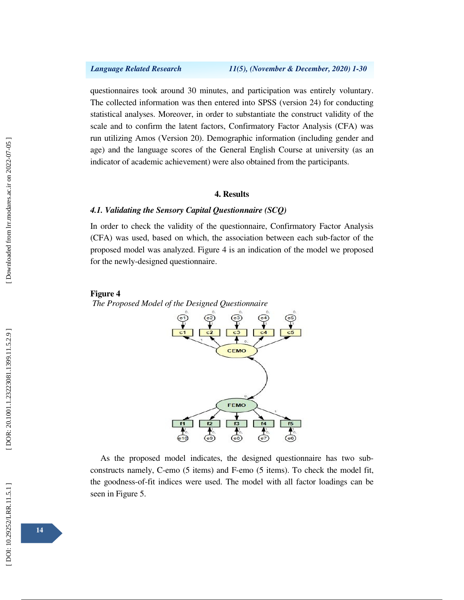questionnaires took around 30 minutes, and participation was entirely voluntary. The collected information was then entered into SPSS (version 24) for conducting statistical analyses. Moreover, in order to substantiate the construct validity of the scale and to confirm the latent factors, Confirmatory Factor Analysis (CFA) was run utilizing Amos (Version 20). Demographic information (including gender and age) and the language scores of the General English Course at university (as an indicator of academic achievement) were also obtained from the participants.

### **4. Results**

## *4.1. Validating the Sensory Capital Questionnaire (SCQ)*

In order to check the validity of the questionnaire, Confirmatory Factor Analysis (CFA) was used, based on which, the association between each sub-factor of the proposed model was analyzed. Figure 4 is an indication of the model we proposed for the newly-designed questionnaire.



*The Proposed Model of the Designed Questionnaire*



As the proposed model indicates, the designed questionnaire has two subconstructs namely, C-emo (5 items) and F-emo (5 items). To check the model fit, the goodness-of-fit indices were used. The model with all factor loadings can be seen in Figure 5.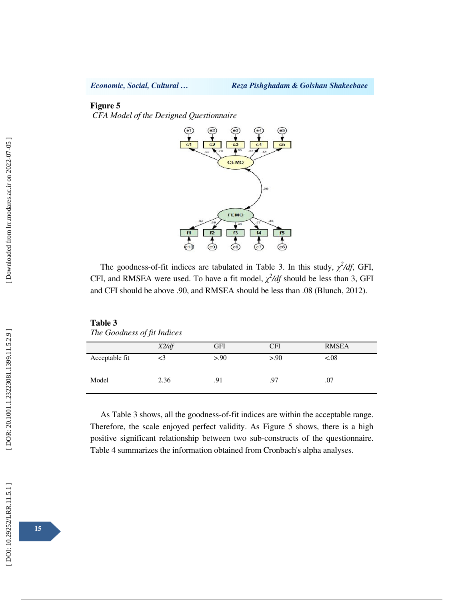## **Figure 5**

*CFA Model of the Designed Questionnaire*



The goodness-of-fit indices are tabulated in Table 3. In this study,  $\chi^2/df$ , GFI, CFI, and RMSEA were used. To have a fit model,  $\chi^2/df$  should be less than 3, GFI and CFI should be above .90, and RMSEA should be less than .08 (Blunch, 2012).

| Table 3                     |  |
|-----------------------------|--|
| The Goodness of fit Indices |  |

|                | X2/df | <b>GFI</b> | <b>CFI</b> | <b>RMSEA</b> |
|----------------|-------|------------|------------|--------------|
| Acceptable fit |       | > 0.90     | > 0.90     | < 0.08       |
| Model          | 2.36  | .91        | .97        | .07          |

As Table 3 shows, all the goodness-of-fit indices are within the acceptable range. Therefore, the scale enjoyed perfect validity. As Figure 5 shows, there is a high positive significant relationship between two sub-constructs of the questionnaire. Table 4 summarizes the information obtained from Cronbach's alpha analyses.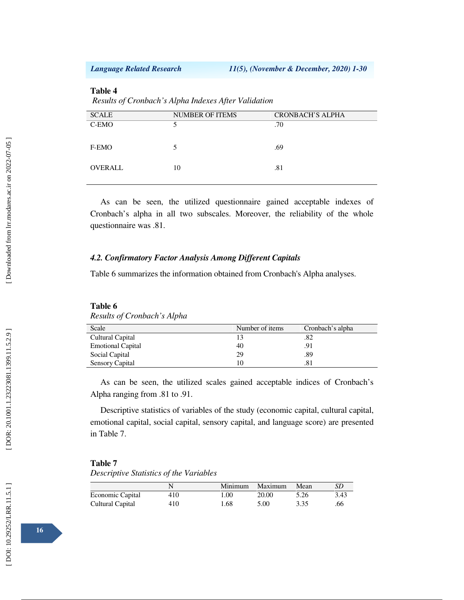## **Table 4**

*Results of Cronbach's Alpha Indexes After Validatio n*

| <b>SCALE</b> | <b>NUMBER OF ITEMS</b> | <b>CRONBACH'S ALPHA</b> |
|--------------|------------------------|-------------------------|
| C-EMO        |                        | .70                     |
|              |                        |                         |
| F-EMO        |                        | .69                     |
|              |                        |                         |
| OVERALL      | 10                     | .81                     |
|              |                        |                         |

As can be seen, the utilized questionnaire gained acceptable indexes of Cronbach's alpha in all two subscales. Moreover, the reliability of the whole questionnaire was .81.

## *4.2. Confirmatory Factor Analysis Among Different Capitals*

Table 6 summarizes the information obtained from Cronbach's Alpha analyses.

| Results of Cronbach s Alpha |                 |                  |
|-----------------------------|-----------------|------------------|
| Scale                       | Number of items | Cronbach's alpha |
| Cultural Capital            |                 | .82              |
| <b>Emotional Capital</b>    | 40              | .91              |
| Social Capital              | 29              | .89              |
| Sensory Capital             | 10              | .81              |
|                             |                 |                  |

**Table 6**  *Results of Cronbach's Alpha*

As can be seen, the utilized scales gained acceptable indices of Cronbach's Alpha ranging from .81 to .91.

Descriptive statistics of variables of the study (economic capital, cultural capital, emotional capital, social capital, sensory capital, and language score) are presented in Table 7.

### **Table 7**

*Descriptive Statistics of the Variables*

|                  |     | Minimum | Maximum | Mean | SD   |
|------------------|-----|---------|---------|------|------|
| Economic Capital | 410 | 1.00    | 20.00   | 5.26 | 3.43 |
| Cultural Capital | 410 | 1.68    | 5.00    | 3.35 | .66  |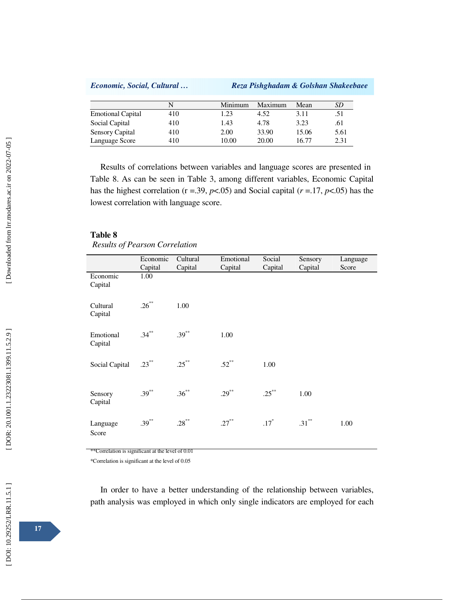|  | Economic, Social, Cultural |  |  |  |  |
|--|----------------------------|--|--|--|--|
|--|----------------------------|--|--|--|--|

*Economic, Social, Cultural … Reza Pishghadam & Golshan Shakeebaee*

|                          |     | Minimum | Maximum | Mean  | SD   |
|--------------------------|-----|---------|---------|-------|------|
| <b>Emotional Capital</b> | 410 | 1.23    | 4.52    | 3.11  | .51  |
| Social Capital           | 410 | 1.43    | 4.78    | 3.23  | .61  |
| Sensory Capital          | 410 | 2.00    | 33.90   | 15.06 | 5.61 |
| Language Score           | 410 | 10.00   | 20.00   | 16.77 | 2.31 |

Results of correlations between variables and language scores are presented in Table 8. As can be seen in Table 3, among different variables, Economic Capital has the highest correlation ( $r = 0.39$ ,  $p < 0.05$ ) and Social capital ( $r = 0.17$ ,  $p < 0.05$ ) has the lowest correlation with language score.

### **Table 8**

*Results of Pearson Correlation*

|                      | Economic<br>Capital | Cultural<br>Capital | Emotional<br>Capital | Social<br>Capital | Sensory<br>Capital | Language<br>Score |
|----------------------|---------------------|---------------------|----------------------|-------------------|--------------------|-------------------|
| Economic<br>Capital  | 1.00                |                     |                      |                   |                    |                   |
| Cultural<br>Capital  | $.26***$            | 1.00                |                      |                   |                    |                   |
| Emotional<br>Capital | $.34***$            | $.39***$            | 1.00                 |                   |                    |                   |
| Social Capital       | $.23***$            | $.25***$            | $.52***$             | 1.00              |                    |                   |
| Sensory<br>Capital   | $.39***$            | $.36***$            | $.29***$             | $.25***$          | 1.00               |                   |
| Language<br>Score    | $.39***$            | $.28***$            | $.27***$             | $.17*$            | $.31***$           | 1.00              |

\*\*Correlation is significant at the level of 0.01

\*Correlation is significant at the level of 0.05

In order to have a better understanding of the relationship between variables, path analysis was employed in which only single indicators are employed for each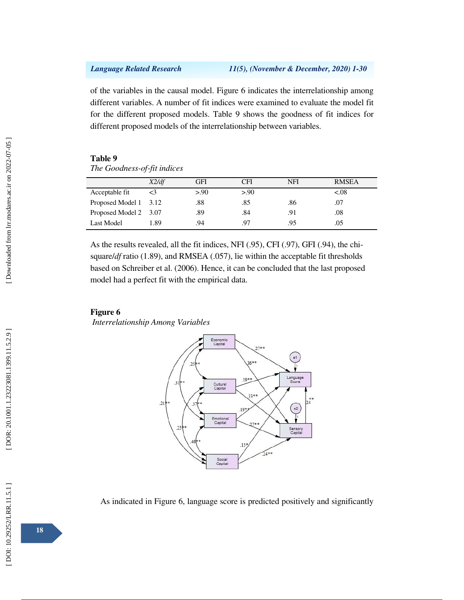of the variables in the causal model. Figure 6 indicates the interrelationship among different variables. A number of fit indices were examined to evaluate the model fit for the different proposed models. Table 9 shows the goodness of fit indices for different proposed models of the interrelationship between variables.

### **Table 9**

*The Goodness-of-fit indices*

|                       | X2/df    | GFI    | CFI    | NFI | <b>RMSEA</b> |
|-----------------------|----------|--------|--------|-----|--------------|
| Acceptable fit        | $\leq$ 3 | > 0.90 | > 0.90 |     | &0.08        |
| Proposed Model 1 3.12 |          | .88    | .85    | .86 | .07          |
| Proposed Model 2 3.07 |          | .89    | .84    | .91 | .08          |
| Last Model            | 1.89     | .94    | 97     | .95 | .05          |

As the results revealed, all the fit indices, NFI (.95), CFI (.97), GFI (.94), the chisquare/*df* ratio (1.89), and RMSEA (.057), lie within the acceptable fit thresholds based on Schreiber et al. (2006). Hence, it can be concluded that the last proposed model had a perfect fit with the empirical data.

## **Figure 6**

*Interrelationship Among Variables*



As indicated in Figure 6, language score is predicted positively and significantly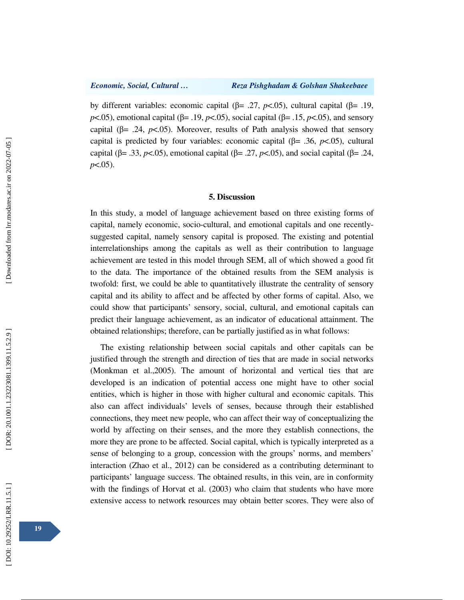by different variables: economic capital (β= .27,  $p$ <.05), cultural capital (β= .19, *p*<.05), emotional capital (β= .19, *p*<.05), social capital (β= .15, *p*<.05), and sensory capital  $(\beta = .24, p<.05)$ . Moreover, results of Path analysis showed that sensory capital is predicted by four variables: economic capital  $(\beta = .36, p<.05)$ , cultural capital ( $\beta$ = .33,  $p$ <.05), emotional capital ( $\beta$ = .27,  $p$ <.05), and social capital ( $\beta$ = .24, *p*<.05).

## **5. Discussion**

In this study, a model of language achievement based on three existing forms of capital, namely economic, socio-cultural, and emotional capitals and one recentlysuggested capital, namely sensory capital is proposed. The existing and potential interrelationships among the capitals as well as their contribution to language achievement are tested in this model through SEM, all of which showed a good fit to the data. The importance of the obtained results from the SEM analysis is twofold: first, we could be able to quantitatively illustrate the centrality of sensory capital and its ability to affect and be affected by other forms of capital. Also, we could show that participants' sensory, social, cultural, and emotional capitals can predict their language achievement, as an indicator of educational attainment. The obtained relationships; therefore, can be partially justified as in what follows:

The existing relationship between social capitals and other capitals can be justified through the strength and direction of ties that are made in social networks (Monkman et al.,2005). The amount of horizontal and vertical ties that are developed is an indication of potential access one might have to other social entities, which is higher in those with higher cultural and economic capitals. This also can affect individuals' levels of senses, because through their established connections, they meet new people, who can affect their way of conceptualizing the world by affecting on their senses, and the more they establish connections, the more they are prone to be affected. Social capital, which is typically interpreted as a sense of belonging to a group, concession with the groups' norms, and members' interaction (Zhao et al., 2012) can be considered as a contributing determinant to participants' language success. The obtained results, in this vein, are in conformity with the findings of Horvat et al. (2003) who claim that students who have more extensive access to network resources may obtain better scores. They were also of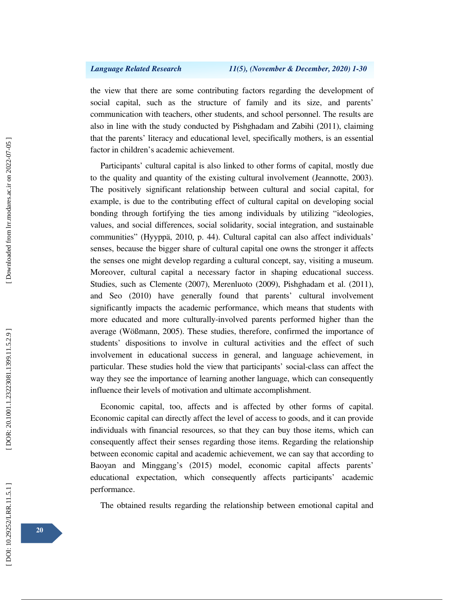the view that there are some contributing factors regarding the development of social capital, such as the structure of family and its size, and parents' communication with teachers, other students, and school personnel. The results are also in line with the study conducted by Pishghadam and Zabihi (2011), claiming that the parents' literacy and educational level, specifically mothers, is an essential factor in children's academic achievement.

Participants' cultural capital is also linked to other forms of capital, mostly due to the quality and quantity of the existing cultural involvement (Jeannotte, 2003). The positively significant relationship between cultural and social capital, for example, is due to the contributing effect of cultural capital on developing social bonding through fortifying the ties among individuals by utilizing "ideologies, values, and social differences, social solidarity, social integration, and sustainable communities" (Hyyppä, 2010, p. 44). Cultural capital can also affect individuals' senses, because the bigger share of cultural capital one owns the stronger it affects the senses one might develop regarding a cultural concept, say, visiting a museum. Moreover, cultural capital a necessary factor in shaping educational success. Studies, such as Clemente (2007), Merenluoto (2009), Pishghadam et al. (2011), and Seo (2010) have generally found that parents' cultural involvement significantly impacts the academic performance, which means that students with more educated and more culturally-involved parents performed higher than the average (Wößmann, 2005). These studies, therefore, confirmed the importance of students' dispositions to involve in cultural activities and the effect of such involvement in educational success in general, and language achievement, in particular. These studies hold the view that participants' social-class can affect the way they see the importance of learning another language, which can consequently influence their levels of motivation and ultimate accomplishment.

Economic capital, too, affects and is affected by other forms of capital. Economic capital can directly affect the level of access to goods, and it can provide individuals with financial resources, so that they can buy those items, which can consequently affect their senses regarding those items. Regarding the relationship between economic capital and academic achievement, we can say that according to Baoyan and Minggang's (2015) model, economic capital affects parents' educational expectation, which consequently affects participants' academic performance.

The obtained results regarding the relationship between emotional capital and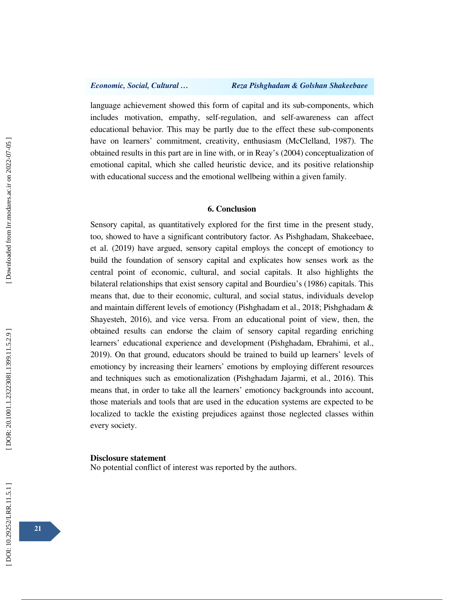language achievement showed this form of capital and its sub-components, which includes motivation, empathy, self-regulation, and self-awareness can affect educational behavior. This may be partly due to the effect these sub-components have on learners' commitment, creativity, enthusiasm (McClelland, 1987). The obtained results in this part are in line with, or in Reay's (2004) conceptualization of emotional capital, which she called heuristic device, and its positive relationship with educational success and the emotional wellbeing within a given family.

### **6. Conclusion**

Sensory capital, as quantitatively explored for the first time in the present study, too, showed to have a significant contributory factor. As Pishghadam, Shakeebaee, et al. (2019) have argued, sensory capital employs the concept of emotioncy to build the foundation of sensory capital and explicates how senses work as the central point of economic, cultural, and social capitals. It also highlights the bilateral relationships that exist sensory capital and Bourdieu's (1986) capitals. This means that, due to their economic, cultural, and social status, individuals develop and maintain different levels of emotioncy (Pishghadam et al., 2018; Pishghadam & Shayesteh, 2016), and vice versa. From an educational point of view, then, the obtained results can endorse the claim of sensory capital regarding enriching learners' educational experience and development (Pishghadam, Ebrahimi, et al., 2019). On that ground, educators should be trained to build up learners' levels of emotioncy by increasing their learners' emotions by employing different resources and techniques such as emotionalization (Pishghadam Jajarmi, et al., 2016). This means that, in order to take all the learners' emotioncy backgrounds into account, those materials and tools that are used in the education systems are expected to be localized to tackle the existing prejudices against those neglected classes within every society.

### **Disclosure statement**

No potential conflict of interest was reported by the authors.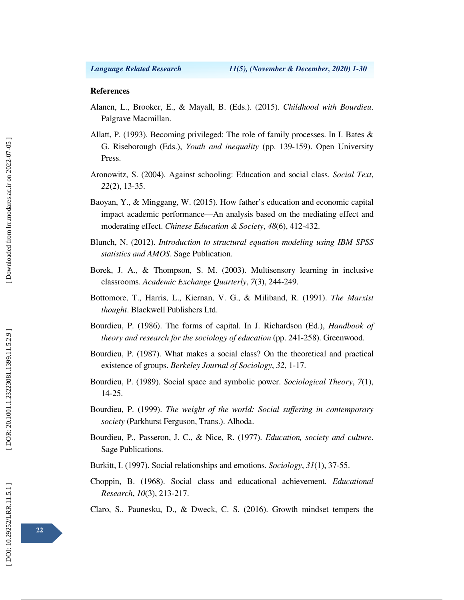### **References**

- Alanen, L., Brooker, E., & Mayall, B. (Eds.). (2015). *Childhood with Bourdieu*. Palgrave Macmillan.
- Allatt, P. (1993). Becoming privileged: The role of family processes. In I. Bates & G. Riseborough (Eds.), *Youth and inequality* (pp. 139-159). Open University Press.
- Aronowitz, S. (2004). Against schooling: Education and social class. *Social Text*, *22*(2), 13-35.
- Baoyan, Y., & Minggang, W. (2015). How father's education and economic capital impact academic performance—An analysis based on the mediating effect and moderating effect. *Chinese Education & Society*, *48*(6), 412-432.
- Blunch, N. (2012). *Introduction to structural equation modeling using IBM SPSS statistics and AMOS*. Sage Publication.
- Borek, J. A., & Thompson, S. M. (2003). Multisensory learning in inclusive classrooms. *Academic Exchange Quarterly*, *7*(3), 244-249.
- Bottomore, T., Harris, L., Kiernan, V. G., & Miliband, R. (1991). *The Marxist thought*. Blackwell Publishers Ltd.
- Bourdieu, P. (1986). The forms of capital. In J. Richardson (Ed.), *Handbook of theory and research for the sociology of education* (pp. 241-258). Greenwood.
- Bourdieu, P. (1987). What makes a social class? On the theoretical and practical existence of groups. *Berkeley Journal of Sociology*, *32*, 1-17.
- Bourdieu, P. (1989). Social space and symbolic power. *Sociological Theory*, *7*(1), 14-25.
- Bourdieu, P. (1999). *The weight of the world: Social suffering in contemporary society* (Parkhurst Ferguson, Trans.). Alhoda.
- Bourdieu, P., Passeron, J. C., & Nice, R. (1977). *Education, society and culture*. Sage Publications.
- Burkitt, I. (1997). Social relationships and emotions. *Sociology*, *31*(1), 37-55.
- Choppin, B. (1968). Social class and educational achievement. *Educational Research*, *10*(3), 213-217.

Claro, S., Paunesku, D., & Dweck, C. S. (2016). Growth mindset tempers the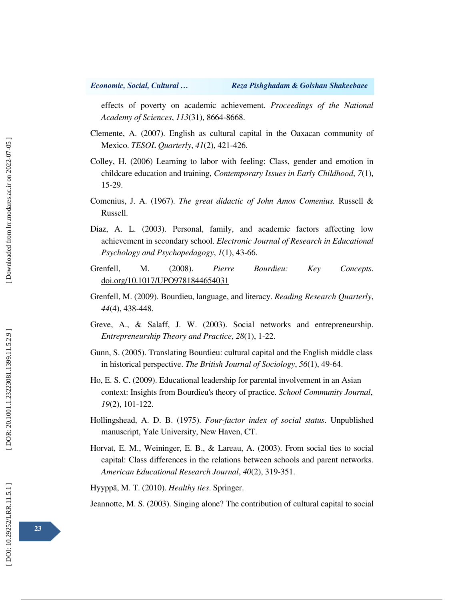effects of poverty on academic achievement. *Proceedings of the National Academy of Sciences*, *113*(31), 8664-8668.

- Clemente, A. (2007). English as cultural capital in the Oaxacan community of Mexico. *TESOL Quarterly*, *41*(2), 421-426.
- Colley, H. (2006) Learning to labor with feeling: Class, gender and emotion in childcare education and training, *Contemporary Issues in Early Childhood*, *7*(1), 15-29.
- Comenius, J. A. (1967). *The great didactic of John Amos Comenius.* Russell & Russell.
- Diaz, A. L. (2003). Personal, family, and academic factors affecting low achievement in secondary school. *Electronic Journal of Research in Educational Psychology and Psychopedagogy*, *1*(1), 43-66.
- Grenfell, M. (2008). *Pierre Bourdieu: Key Concepts*. doi.org/10.1017/UPO9781844654031
- Grenfell, M. (2009). Bourdieu, language, and literacy. *Reading Research Quarterly*, *44*(4), 438-448.
- Greve, A., & Salaff, J. W. (2003). Social networks and entrepreneurship. *Entrepreneurship Theory and Practice*, *28*(1), 1-22.
- Gunn, S. (2005). Translating Bourdieu: cultural capital and the English middle class in historical perspective. *The British Journal of Sociology*, *56*(1), 49-64.
- Ho, E. S. C. (2009). Educational leadership for parental involvement in an Asian context: Insights from Bourdieu's theory of practice. *School Community Journal*, *19*(2), 101-122.
- Hollingshead, A. D. B. (1975). *Four-factor index of social status*. Unpublished manuscript, Yale University, New Haven, CT.
- Horvat, E. M., Weininger, E. B., & Lareau, A. (2003). From social ties to social capital: Class differences in the relations between schools and parent networks. *American Educational Research Journal*, *40*(2), 319-351.

Hyyppä, M. T. (2010). *Healthy ties*. Springer.

Jeannotte, M. S. (2003). Singing alone? The contribution of cultural capital to social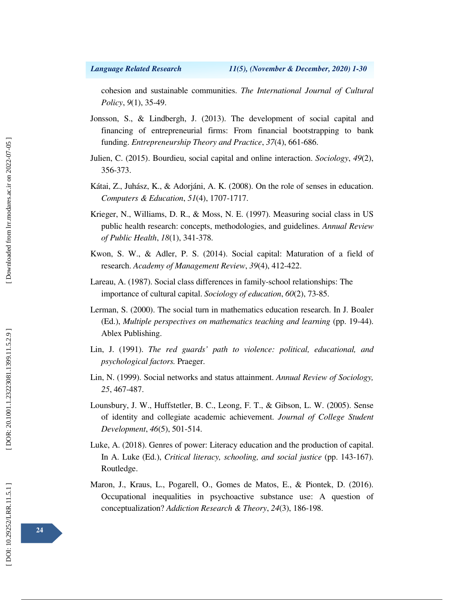cohesion and sustainable communities. *The International Journal of Cultural Policy*, *9*(1), 35-49.

- Jonsson, S., & Lindbergh, J. (2013). The development of social capital and financing of entrepreneurial firms: From financial bootstrapping to bank funding. *Entrepreneurship Theory and Practice*, *37*(4), 661-686.
- Julien, C. (2015). Bourdieu, social capital and online interaction. *Sociology*, *49*(2), 356-373.
- Kátai, Z., Juhász, K., & Adorjáni, A. K. (2008). On the role of senses in education. *Computers & Education*, *51*(4), 1707-1717.
- Krieger, N., Williams, D. R., & Moss, N. E. (1997). Measuring social class in US public health research: concepts, methodologies, and guidelines. *Annual Review of Public Health*, *18*(1), 341-378.
- Kwon, S. W., & Adler, P. S. (2014). Social capital: Maturation of a field of research. *Academy of Management Review*, *39*(4), 412-422.
- Lareau, A. (1987). Social class differences in family-school relationships: The importance of cultural capital. *Sociology of education*, *60*(2), 73-85.
- Lerman, S. (2000). The social turn in mathematics education research. In J. Boaler (Ed.), *Multiple perspectives on mathematics teaching and learning* (pp. 19-44). Ablex Publishing.
- Lin, J. (1991). *The red guards' path to violence: political, educational, and psychological factors.* Praeger.
- Lin, N. (1999). Social networks and status attainment. *Annual Review of Sociology, 25*, 467-487.
- Lounsbury, J. W., Huffstetler, B. C., Leong, F. T., & Gibson, L. W. (2005). Sense of identity and collegiate academic achievement. *Journal of College Student Development*, *46*(5), 501-514.
- Luke, A. (2018). Genres of power: Literacy education and the production of capital. In A. Luke (Ed.), *Critical literacy, schooling, and social justice* (pp. 143-167). Routledge.
- Maron, J., Kraus, L., Pogarell, O., Gomes de Matos, E., & Piontek, D. (2016). Occupational inequalities in psychoactive substance use: A question of conceptualization? *Addiction Research & Theory*, *24*(3), 186-198.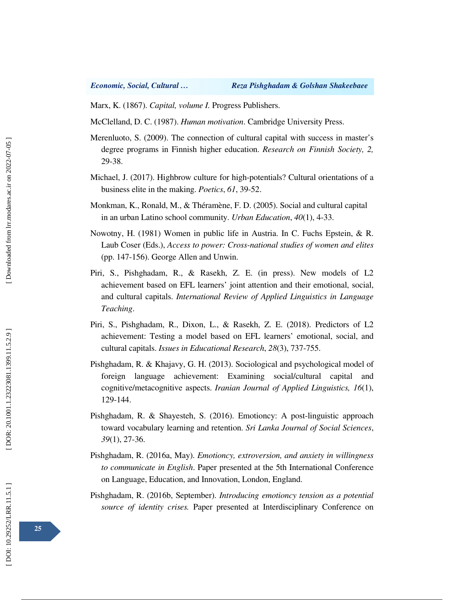Marx, K. (1867). *Capital, volume I.* Progress Publishers.

McClelland, D. C. (1987). *Human motivation*. Cambridge University Press.

- Merenluoto, S. (2009). The connection of cultural capital with success in master's degree programs in Finnish higher education. *Research on Finnish Society, 2,*  29-38.
- Michael, J. (2017). Highbrow culture for high-potentials? Cultural orientations of a business elite in the making. *Poetics*, *61*, 39-52.
- Monkman, K., Ronald, M., & Théramène, F. D. (2005). Social and cultural capital in an urban Latino school community. *Urban Education*, *40*(1), 4-33.
- Nowotny, H. (1981) Women in public life in Austria. In C. Fuchs Epstein, & R. Laub Coser (Eds.), *Access to power: Cross-national studies of women and elites* (pp. 147-156). George Allen and Unwin.
- Piri, S., Pishghadam, R., & Rasekh, Z. E. (in press). New models of L2 achievement based on EFL learners' joint attention and their emotional, social, and cultural capitals. *International Review of Applied Linguistics in Language Teaching*.
- Piri, S., Pishghadam, R., Dixon, L., & Rasekh, Z. E. (2018). Predictors of L2 achievement: Testing a model based on EFL learners' emotional, social, and cultural capitals. *Issues in Educational Research*, *28*(3), 737-755.
- Pishghadam, R. & Khajavy, G. H. (2013). Sociological and psychological model of foreign language achievement: Examining social/cultural capital and cognitive/metacognitive aspects. *Iranian Journal of Applied Linguistics, 16*(1), 129-144.
- Pishghadam, R. & Shayesteh, S. (2016). Emotioncy: A post-linguistic approach toward vocabulary learning and retention. *Sri Lanka Journal of Social Sciences*, *39*(1), 27-36.
- Pishghadam, R. (2016a, May). *Emotioncy, extroversion, and anxiety in willingness to communicate in English*. Paper presented at the 5th International Conference on Language, Education, and Innovation, London, England.
- Pishghadam, R. (2016b, September). *Introducing emotioncy tension as a potential source of identity crises.* Paper presented at Interdisciplinary Conference on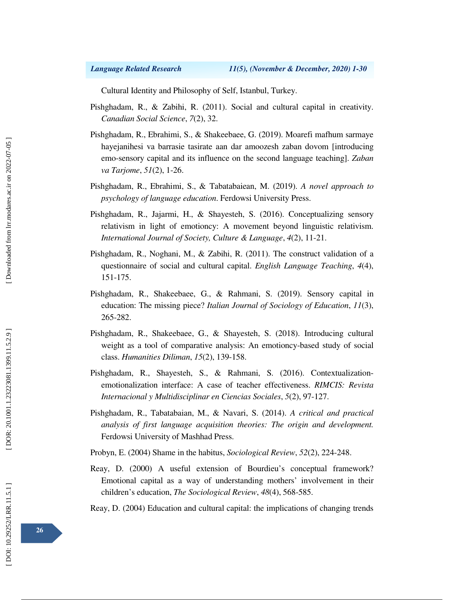Cultural Identity and Philosophy of Self, Istanbul, Turkey.

- Pishghadam, R., & Zabihi, R. (2011). Social and cultural capital in creativity. *Canadian Social Science*, *7*(2), 32.
- Pishghadam, R., Ebrahimi, S., & Shakeebaee, G. (2019). Moarefi mafhum sarmaye hayejanihesi va barrasie tasirate aan dar amoozesh zaban dovom [introducing emo-sensory capital and its influence on the second language teaching]. *Zaban va Tarjome*, *51*(2), 1-26.
- Pishghadam, R., Ebrahimi, S., & Tabatabaiean, M. (2019). *A novel approach to psychology of language education*. Ferdowsi University Press.
- Pishghadam, R., Jajarmi, H., & Shayesteh, S. (2016). Conceptualizing sensory relativism in light of emotioncy: A movement beyond linguistic relativism. *International Journal of Society, Culture & Languag e*, *4*(2), 11-21.
- Pishghadam, R., Noghani, M., & Zabihi, R. (2011). The construct validation of a questionnaire of social and cultural capital. *English Language Teaching*, *4*(4), 151-175.
- Pishghadam, R., Shakeebaee, G., & Rahmani, S. (2019). Sensory capital in education: The missing piece? *Italian Journal of Sociology of Education*, *11*(3), 265-282.
- Pishghadam, R., Shakeebaee, G., & Shayesteh, S. (2018). Introducing cultural weight as a tool of comparative analysis: An emotioncy-based study of social class. *Humanities Diliman*, *15*(2), 139-158.
- Pishghadam, R., Shayesteh, S., & Rahmani, S. (2016). Contextualizationemotionalization interface: A case of teacher effectiveness. *RIMCIS: Revista Internacional y Multidisciplinar en Ciencias Sociales*, *5*(2), 97-127.
- Pishghadam, R., Tabatabaian, M., & Navari, S. (2014). *A critical and practical analysis of first language acquisition theories: The origin and development.*  Ferdowsi University of Mashhad Press.

Probyn, E. (2004) Shame in the habitus, *Sociological Review*, *52*(2), 224-248.

Reay, D. (2000) A useful extension of Bourdieu's conceptual framework? Emotional capital as a way of understanding mothers' involvement in their children's education, *The Sociological Review*, *48*(4), 568-585.

Reay, D. (2004) Education and cultural capital: the implications of changing trends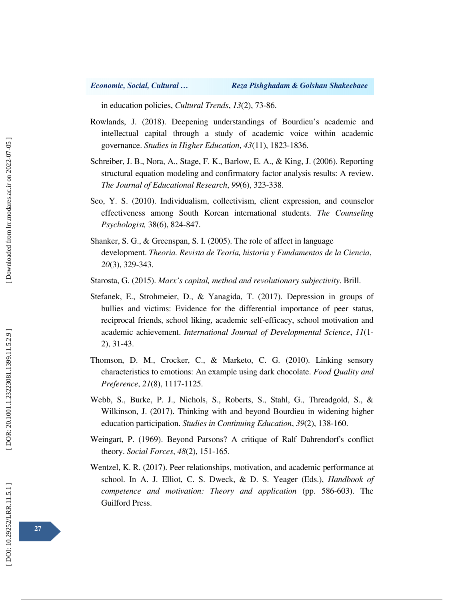in education policies, *Cultural Trends*, *13*(2), 73-86.

- Rowlands, J. (2018). Deepening understandings of Bourdieu's academic and intellectual capital through a study of academic voice within academic governance. *Studies in Higher Education*, *43*(11), 1823-1836.
- Schreiber, J. B., Nora, A., Stage, F. K., Barlow, E. A., & King, J. (2006). Reporting structural equation modeling and confirmatory factor analysis results: A review. *The Journal of Educational Research*, *99*(6), 323-338.
- Seo, Y. S. (2010). Individualism, collectivism, client expression, and counselor effectiveness among South Korean international students*. The Counseling Psychologist,* 38(6), 824-847.
- Shanker, S. G., & Greenspan, S. I. (2005). The role of affect in language development. *Theoria. Revista de Teoría, historia y Fundamentos de la Ciencia*, *20*(3), 329-343.
- Starosta, G. (2015). *Marx's capital, method and revolutionary subjectivity*. Brill.
- Stefanek, E., Strohmeier, D., & Yanagida, T. (2017). Depression in groups of bullies and victims: Evidence for the differential importance of peer status, reciprocal friends, school liking, academic self-efficacy, school motivation and academic achievement. *International Journal of Developmental Science*, *11*(1- 2), 31-43.
- Thomson, D. M., Crocker, C., & Marketo, C. G. (2010). Linking sensory characteristics to emotions: An example using dark chocolate. *Food Quality and Preference*, *21*(8), 1117-1125.
- Webb, S., Burke, P. J., Nichols, S., Roberts, S., Stahl, G., Threadgold, S., & Wilkinson, J. (2017). Thinking with and beyond Bourdieu in widening higher education participation. *Studies in Continuing Education*, *39*(2), 138-160.
- Weingart, P. (1969). Beyond Parsons? A critique of Ralf Dahrendorf's conflict theory. *Social Forces*, *48*(2), 151-165.
- Wentzel, K. R. (2017). Peer relationships, motivation, and academic performance at school. In A. J. Elliot, C. S. Dweck, & D. S. Yeager (Eds.), *Handbook of competence and motivation: Theory and application* (pp. 586-603). The Guilford Press.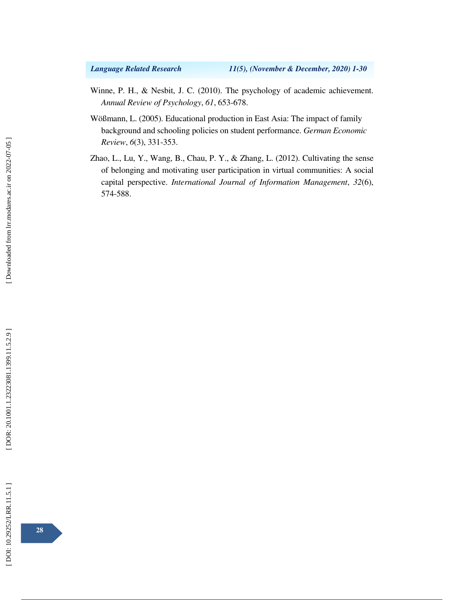- Winne, P. H., & Nesbit, J. C. (2010). The psychology of academic achievement. *Annual Review of Psychology*, *61*, 653-678.
- Wößmann, L. (2005). Educational production in East Asia: The impact of family background and schooling policies on student performance. *German Economic Review*, *6*(3), 331-353.
- Zhao, L., Lu, Y., Wang, B., Chau, P. Y., & Zhang, L. (2012). Cultivating the sense of belonging and motivating user participation in virtual communities: A social capital perspective. *International Journal of Information Management*, *32*(6), 574-588.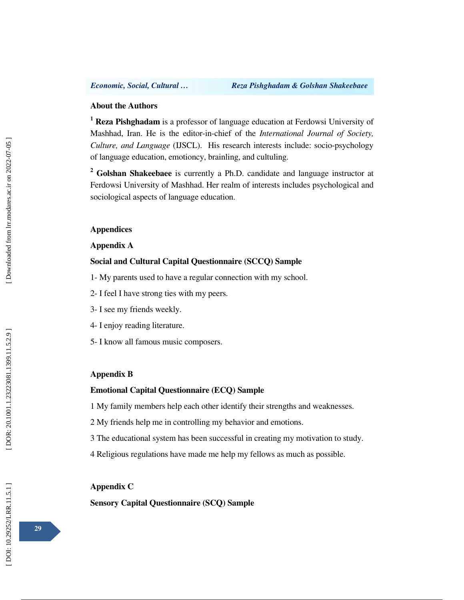### **About the Authors**

<sup>1</sup> Reza Pishghadam is a professor of language education at Ferdowsi University of Mashhad, Iran. He is the editor-in-chief of the *International Journal of Society, Culture, and Language* (IJSCL). His research interests include: socio-psychology of language education, emotioncy, brainling, and cultuling.

<sup>2</sup> Golshan Shakeebaee is currently a Ph.D. candidate and language instructor at Ferdowsi University of Mashhad. Her realm of interests includes psychological and sociological aspects of language education.

## **Appendices**

## **Appendix A**

## **Social and Cultural Capital Questionnaire (SCCQ) Sample**

- 1- My parents used to have a regular connection with my school.
- 2- I feel I have strong ties with my peers.
- 3- I see my friends weekly.
- 4- I enjoy reading literature.
- 5- I know all famous music composers.

### **Appendix B**

## **Emotional Capital Questionnaire (ECQ) Sample**

1 My family members help each other identify their strengths and weaknesses.

- 2 My friends help me in controlling my behavior and emotions.
- 3 The educational system has been successful in creating my motivation to study.
- 4 Religious regulations have made me help my fellows as much as possible.

## **Appendix C**

**Sensory Capital Questionnaire (SCQ) Sample**